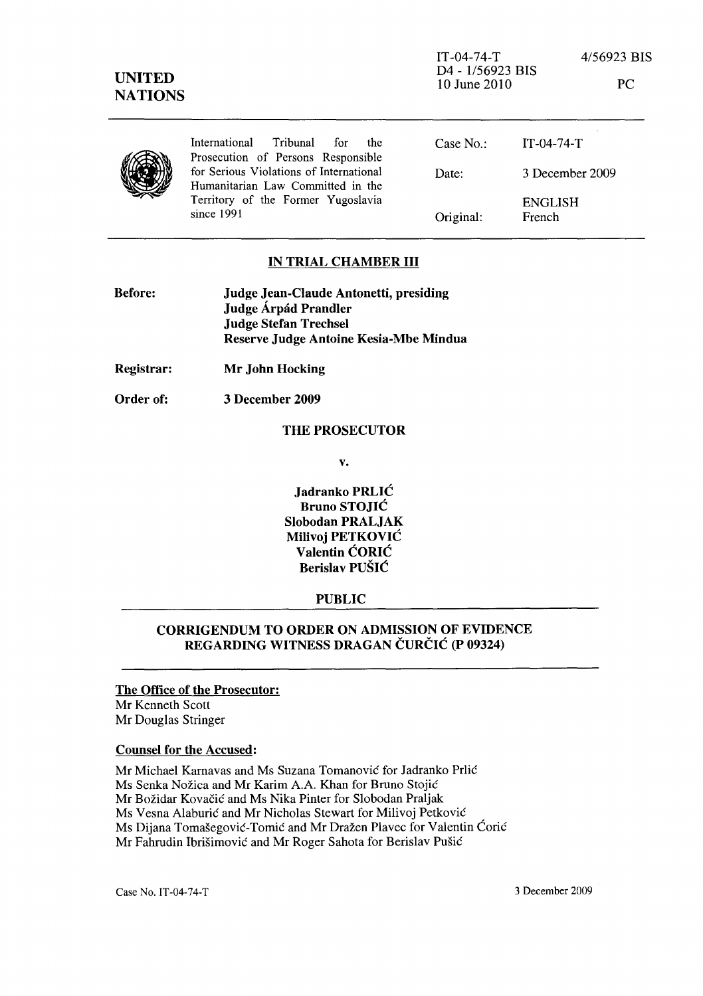

# IN TRIAL CHAMBER **III**

| <b>Before:</b> | Judge Jean-Claude Antonetti, presiding |
|----------------|----------------------------------------|
|                | Judge Árpád Prandler                   |
|                | <b>Judge Stefan Trechsel</b>           |
|                | Reserve Judge Antoine Kesia-Mbe Mindua |

Registrar: Mr John Hocking

Order of: 3 December 2009

### THE PROSECUTOR

v.

Jadranko PRLIC Bruno STOJIC Slobodan PRALJAK Milivoj PETKOVIC Valentin CORIC Berislav PUŠIĆ

## PUBLIC

# CORRIGENDUM TO ORDER ON ADMISSION OF EVIDENCE REGARDING WITNESS DRAGAN CURCIC (P 09324)

The Office of the Prosecutor: Mr Kenneth Scott Mr Douglas Stringer

#### Counsel for the Accused:

Mr Michael Karnavas and Ms Suzana Tomanovic for Jadranko Prlic Ms Senka Nozica and Mr Karim A.A. Khan for Bruno Stojic Mr Božidar Kovačić and Ms Nika Pinter for Slobodan Praljak Ms Vesna Alaburic and Mr Nicholas Stewart for Milivoj Petkovic Ms Dijana Tomasegovic-Tomic and Mr Drazen Plavec for Valentin Coric Mr Fahrudin Ibrisimovic and Mr Roger Sahota for Berislav Pusic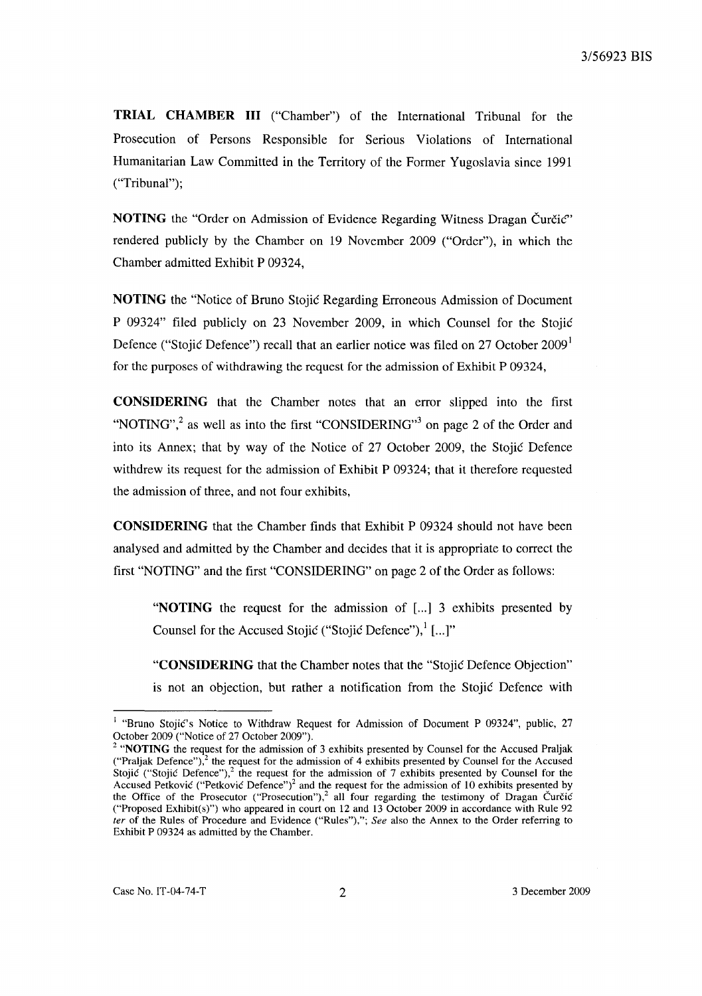**TRIAL CHAMBER III** ("Chamber") of the International Tribunal for the Prosecution of Persons Responsible for Serious Violations of International Humanitarian Law Committed in the Territory of the Former Yugoslavia since 1991 ("Tribunal");

**NOTING** the "Order on Admission of Evidence Regarding Witness Dragan Čurčić" rendered publicly by the Chamber on 19 November 2009 ("Order"), in which the Chamber admitted Exhibit P 09324,

**NOTING** the "Notice of Bruno Stojic Regarding Erroneous Admission of Document P 09324" filed publicly on 23 November 2009, in which Counsel for the Stojic Defence ("Stojić Defence") recall that an earlier notice was filed on 27 October 2009<sup>1</sup> for the purposes of withdrawing the request for the admission of Exhibit P 09324,

**CONSIDERING** that the Chamber notes that an error slipped into the first "NOTING",<sup>2</sup> as well as into the first "CONSIDERING"<sup>3</sup> on page 2 of the Order and into its Annex; that by way of the Notice of 27 October 2009, the Stojić Defence withdrew its request for the admission of Exhibit P 09324; that it therefore requested the admission of three, and not four exhibits,

**CONSIDERING** that the Chamber finds that Exhibit P 09324 should not have been analysed and admitted by the Chamber and decides that it is appropriate to correct the first "NOTING" and the first "CONSIDERING" on page 2 of the Order as follows:

"**NOTING** the request for the admission of [...] 3 exhibits presented by Counsel for the Accused Stojic ("Stojic Defence"),  $\left[ \ldots \right]$ "

**"CONSIDERING** that the Chamber notes that the "Stojic Defence Objection" is not an objection, but rather a notification from the Stojic Defence with

<sup>&</sup>lt;sup>1</sup> "Bruno Stojić's Notice to Withdraw Request for Admission of Document P 09324", public, 27 October 2009 ("Notice of 27 October 2009").

 $2$  "NOTING the request for the admission of 3 exhibits presented by Counsel for the Accused Praljak ("Praljak Defence"), $^2$  the request for the admission of 4 exhibits presented by Counsel for the Accused Stojic ("Stojic Defence"),<sup>2</sup> the request for the admission of 7 exhibits presented by Counsel for the Accused Petkovic ("Petkovic Defence")<sup>2</sup> and the request for the admission of 10 exhibits presented by the Office of the Prosecutor ("Prosecution"),<sup>2</sup> all four regarding the testimony of Dragan Curcic ("Proposed Exhibit(s)") who appeared in court on 12 and 13 October 2009 in accordance with Rule 92 *ler* of the Rules of Procedure and Evidence ("Rules"),"; *See* also the Annex to the Order referring to Exhibit P 09324 as admitted by the Chamber.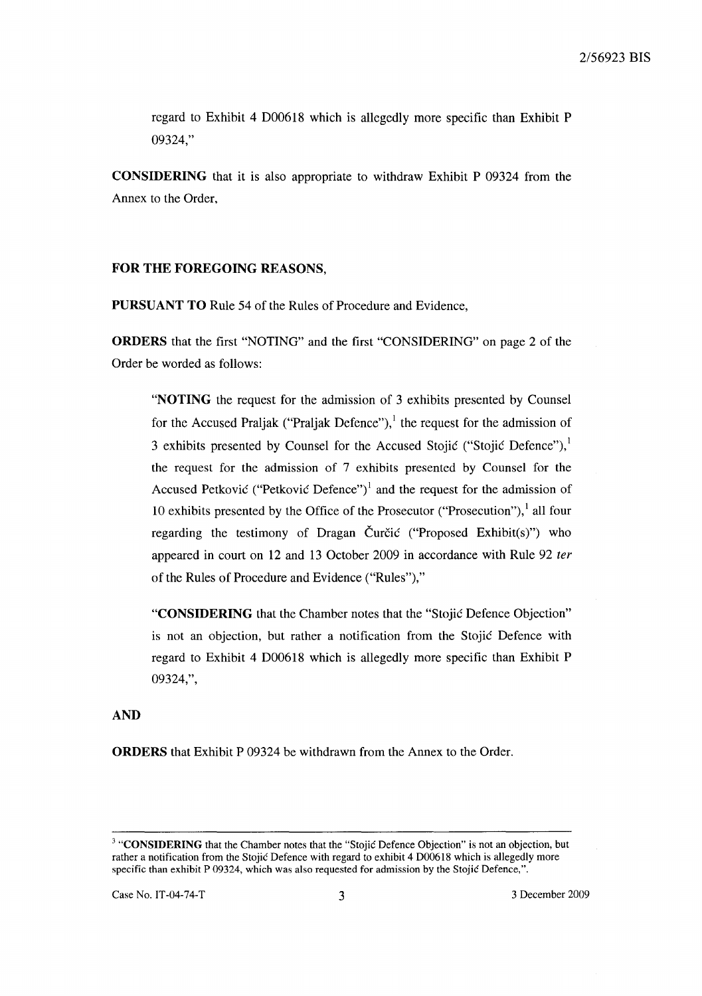regard to Exhibit 4 D00618 which is allegedly more specific than Exhibit P 09324,"

**CONSIDERING** that it is also appropriate to withdraw Exhibit P 09324 from the Annex to the Order,

### **FOR THE FOREGOING** REASONS,

**PURSUANT TO** Rule 54 of the Rules of Procedure and Evidence,

**ORDERS** that the first "NOTING" and the first "CONSIDERING" on page 2 of the Order be worded as follows:

**"NOTING** the request for the admission of 3 exhibits presented by Counsel for the Accused Praljak ("Praljak Defence"),<sup>1</sup> the request for the admission of 3 exhibits presented by Counsel for the Accused Stojić ("Stojić Defence"), $<sup>1</sup>$ </sup> the request for the admission of 7 exhibits presented by Counsel for the Accused Petkovic ("Petkovic Defence")<sup>1</sup> and the request for the admission of 10 exhibits presented by the Office of the Prosecutor ("Prosecution"), $\frac{1}{1}$  all four regarding the testimony of Dragan Čurčić ("Proposed Exhibit(s)") who appeared in court on 12 and 13 October 2009 in accordance with Rule 92 *ter*  of the Rules of Procedure and Evidence ("Rules"),"

**"CONSIDERING** that the Chamber notes that the "Stojic Defence Objection" is not an objection, but rather a notification from the Stojic Defence with regard to Exhibit 4 D00618 which is allegedly more specific than Exhibit P 09324,",

# **AND**

**ORDERS** that Exhibit P 09324 be withdrawn from the Annex to the Order.

<sup>&</sup>lt;sup>3</sup> "CONSIDERING that the Chamber notes that the "Stojić Defence Objection" is not an objection, but rather a notification from the Stojic Defence with regard to exhibit 4 D00618 which is allegedly more specific than exhibit P 09324, which was also requested for admission by the Stojić Defence,".